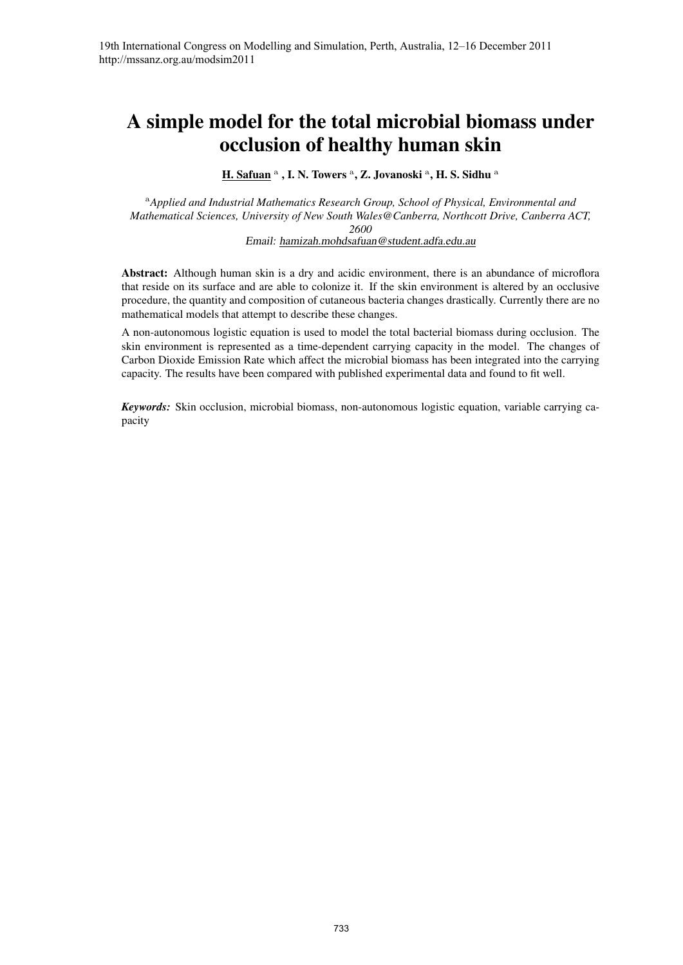# A simple model for the total microbial biomass under occlusion of healthy human skin

H. Safuan <sup>a</sup>, I. N. Towers <sup>a</sup>, Z. Jovanoski <sup>a</sup>, H. S. Sidhu <sup>a</sup>

<sup>a</sup>*Applied and Industrial Mathematics Research Group, School of Physical, Environmental and Mathematical Sciences, University of New South Wales@Canberra, Northcott Drive, Canberra ACT, 2600* Email: hamizah.mohdsafuan@student.adfa.edu.au

Abstract: Although human skin is a dry and acidic environment, there is an abundance of microflora that reside on its surface and are able to colonize it. If the skin environment is altered by an occlusive procedure, the quantity and composition of cutaneous bacteria changes drastically. Currently there are no mathematical models that attempt to describe these changes.

A non-autonomous logistic equation is used to model the total bacterial biomass during occlusion. The skin environment is represented as a time-dependent carrying capacity in the model. The changes of Carbon Dioxide Emission Rate which affect the microbial biomass has been integrated into the carrying capacity. The results have been compared with published experimental data and found to fit well.

*Keywords:* Skin occlusion, microbial biomass, non-autonomous logistic equation, variable carrying capacity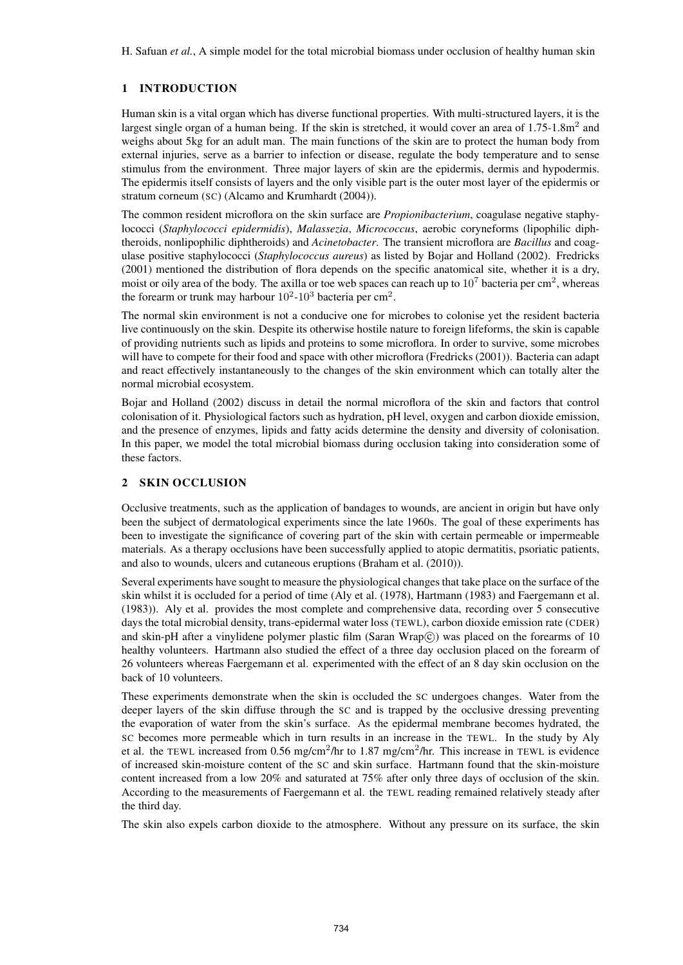H. Safuan *et al.*, A simple model for the total microbial biomass under occlusion of healthy human skin

# 1 INTRODUCTION

Human skin is a vital organ which has diverse functional properties. With multi-structured layers, it is the largest single organ of a human being. If the skin is stretched, it would cover an area of  $1.75$ -1.8m<sup>2</sup> and weighs about 5kg for an adult man. The main functions of the skin are to protect the human body from external injuries, serve as a barrier to infection or disease, regulate the body temperature and to sense stimulus from the environment. Three major layers of skin are the epidermis, dermis and hypodermis. The epidermis itself consists of layers and the only visible part is the outer most layer of the epidermis or stratum corneum (SC) (Alcamo and Krumhardt (2004)).

The common resident microflora on the skin surface are *Propionibacterium*, coagulase negative staphylococci (*Staphylococci epidermidis*), *Malassezia*, *Micrococcus*, aerobic coryneforms (lipophilic diphtheroids, nonlipophilic diphtheroids) and *Acinetobacter*. The transient microflora are *Bacillus* and coagulase positive staphylococci (*Staphylococcus aureus*) as listed by Bojar and Holland (2002). Fredricks (2001) mentioned the distribution of flora depends on the specific anatomical site, whether it is a dry, moist or oily area of the body. The axilla or toe web spaces can reach up to  $10^7$  bacteria per cm<sup>2</sup>, whereas the forearm or trunk may harbour  $10^2$ - $10^3$  bacteria per cm<sup>2</sup>.

The normal skin environment is not a conducive one for microbes to colonise yet the resident bacteria live continuously on the skin. Despite its otherwise hostile nature to foreign lifeforms, the skin is capable of providing nutrients such as lipids and proteins to some microflora. In order to survive, some microbes will have to compete for their food and space with other microflora (Fredricks (2001)). Bacteria can adapt and react effectively instantaneously to the changes of the skin environment which can totally alter the normal microbial ecosystem.

Bojar and Holland (2002) discuss in detail the normal microflora of the skin and factors that control colonisation of it. Physiological factors such as hydration, pH level, oxygen and carbon dioxide emission, and the presence of enzymes, lipids and fatty acids determine the density and diversity of colonisation. In this paper, we model the total microbial biomass during occlusion taking into consideration some of these factors.

## 2 SKIN OCCLUSION

Occlusive treatments, such as the application of bandages to wounds, are ancient in origin but have only been the subject of dermatological experiments since the late 1960s. The goal of these experiments has been to investigate the significance of covering part of the skin with certain permeable or impermeable materials. As a therapy occlusions have been successfully applied to atopic dermatitis, psoriatic patients, and also to wounds, ulcers and cutaneous eruptions (Braham et al. (2010)).

Several experiments have sought to measure the physiological changes that take place on the surface of the skin whilst it is occluded for a period of time (Aly et al. (1978), Hartmann (1983) and Faergemann et al. (1983)). Aly et al. provides the most complete and comprehensive data, recording over 5 consecutive days the total microbial density, trans-epidermal water loss (TEWL), carbon dioxide emission rate (CDER) and skin-pH after a vinylidene polymer plastic film (Saran Wrap $\hat{c}$ ) was placed on the forearms of 10 healthy volunteers. Hartmann also studied the effect of a three day occlusion placed on the forearm of 26 volunteers whereas Faergemann et al. experimented with the effect of an 8 day skin occlusion on the back of 10 volunteers.

These experiments demonstrate when the skin is occluded the SC undergoes changes. Water from the deeper layers of the skin diffuse through the SC and is trapped by the occlusive dressing preventing the evaporation of water from the skin's surface. As the epidermal membrane becomes hydrated, the SC becomes more permeable which in turn results in an increase in the TEWL. In the study by Aly et al. the TEWL increased from 0.56 mg/cm<sup>2</sup>/hr to 1.87 mg/cm<sup>2</sup>/hr. This increase in TEWL is evidence of increased skin-moisture content of the SC and skin surface. Hartmann found that the skin-moisture content increased from a low 20% and saturated at 75% after only three days of occlusion of the skin. According to the measurements of Faergemann et al. the TEWL reading remained relatively steady after the third day.

The skin also expels carbon dioxide to the atmosphere. Without any pressure on its surface, the skin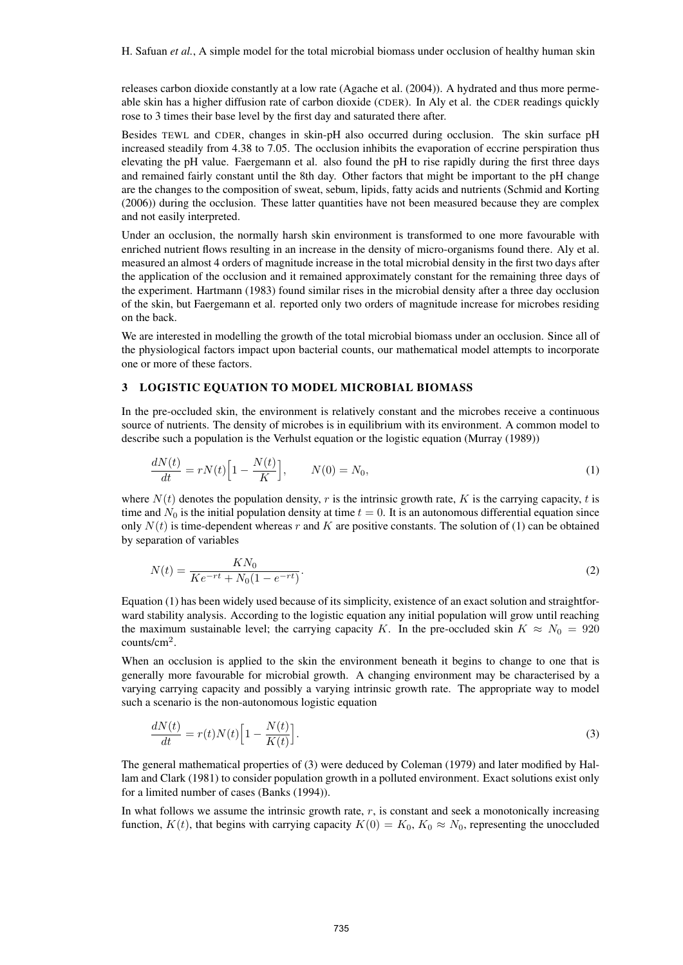H. Safuan *et al.*, A simple model for the total microbial biomass under occlusion of healthy human skin

releases carbon dioxide constantly at a low rate (Agache et al. (2004)). A hydrated and thus more permeable skin has a higher diffusion rate of carbon dioxide (CDER). In Aly et al. the CDER readings quickly rose to 3 times their base level by the first day and saturated there after.

Besides TEWL and CDER, changes in skin-pH also occurred during occlusion. The skin surface pH increased steadily from 4.38 to 7.05. The occlusion inhibits the evaporation of eccrine perspiration thus elevating the pH value. Faergemann et al. also found the pH to rise rapidly during the first three days and remained fairly constant until the 8th day. Other factors that might be important to the pH change are the changes to the composition of sweat, sebum, lipids, fatty acids and nutrients (Schmid and Korting (2006)) during the occlusion. These latter quantities have not been measured because they are complex and not easily interpreted.

Under an occlusion, the normally harsh skin environment is transformed to one more favourable with enriched nutrient flows resulting in an increase in the density of micro-organisms found there. Aly et al. measured an almost 4 orders of magnitude increase in the total microbial density in the first two days after the application of the occlusion and it remained approximately constant for the remaining three days of the experiment. Hartmann (1983) found similar rises in the microbial density after a three day occlusion of the skin, but Faergemann et al. reported only two orders of magnitude increase for microbes residing on the back.

We are interested in modelling the growth of the total microbial biomass under an occlusion. Since all of the physiological factors impact upon bacterial counts, our mathematical model attempts to incorporate one or more of these factors.

## 3 LOGISTIC EQUATION TO MODEL MICROBIAL BIOMASS

In the pre-occluded skin, the environment is relatively constant and the microbes receive a continuous source of nutrients. The density of microbes is in equilibrium with its environment. A common model to describe such a population is the Verhulst equation or the logistic equation (Murray (1989))

$$
\frac{dN(t)}{dt} = rN(t)\Big[1 - \frac{N(t)}{K}\Big], \qquad N(0) = N_0,
$$
\n(1)

where  $N(t)$  denotes the population density, r is the intrinsic growth rate, K is the carrying capacity, t is time and  $N_0$  is the initial population density at time  $t = 0$ . It is an autonomous differential equation since only  $N(t)$  is time-dependent whereas r and K are positive constants. The solution of (1) can be obtained by separation of variables

$$
N(t) = \frac{KN_0}{Ke^{-rt} + N_0(1 - e^{-rt})}.
$$
\n(2)

Equation (1) has been widely used because of its simplicity, existence of an exact solution and straightforward stability analysis. According to the logistic equation any initial population will grow until reaching the maximum sustainable level; the carrying capacity K. In the pre-occluded skin  $K \approx N_0 = 920$ counts/cm<sup>2</sup> .

When an occlusion is applied to the skin the environment beneath it begins to change to one that is generally more favourable for microbial growth. A changing environment may be characterised by a varying carrying capacity and possibly a varying intrinsic growth rate. The appropriate way to model such a scenario is the non-autonomous logistic equation

$$
\frac{dN(t)}{dt} = r(t)N(t)\Big[1 - \frac{N(t)}{K(t)}\Big].\tag{3}
$$

The general mathematical properties of (3) were deduced by Coleman (1979) and later modified by Hallam and Clark (1981) to consider population growth in a polluted environment. Exact solutions exist only for a limited number of cases (Banks (1994)).

In what follows we assume the intrinsic growth rate,  $r$ , is constant and seek a monotonically increasing function,  $K(t)$ , that begins with carrying capacity  $K(0) = K_0, K_0 \approx N_0$ , representing the unoccluded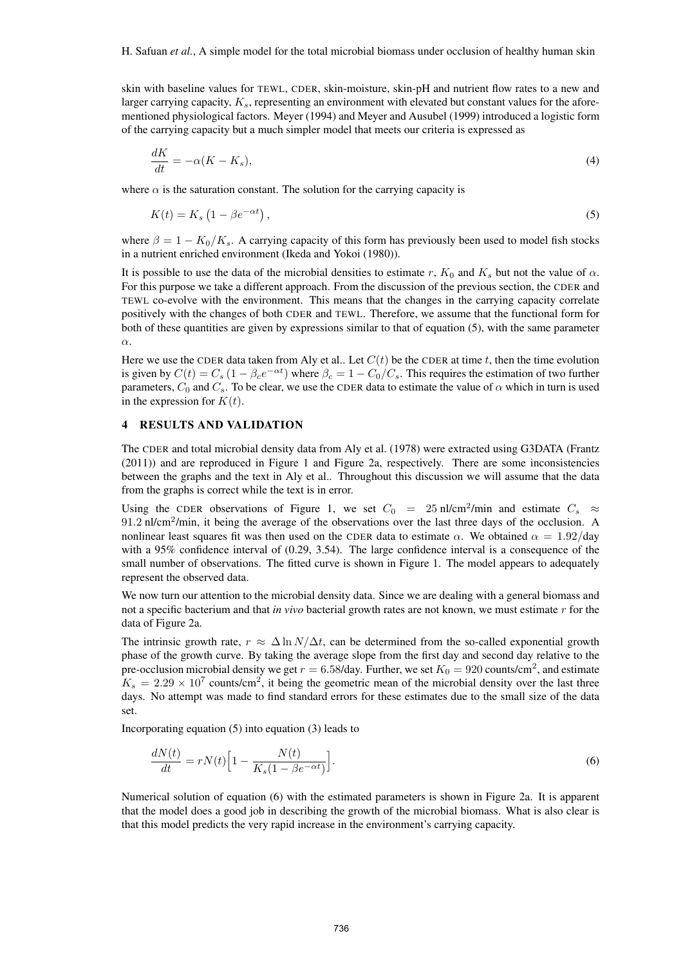skin with baseline values for TEWL, CDER, skin-moisture, skin-pH and nutrient flow rates to a new and larger carrying capacity,  $K_s$ , representing an environment with elevated but constant values for the aforementioned physiological factors. Meyer (1994) and Meyer and Ausubel (1999) introduced a logistic form of the carrying capacity but a much simpler model that meets our criteria is expressed as

$$
\frac{dK}{dt} = -\alpha (K - K_s),\tag{4}
$$

where  $\alpha$  is the saturation constant. The solution for the carrying capacity is

$$
K(t) = K_s \left( 1 - \beta e^{-\alpha t} \right),\tag{5}
$$

where  $\beta = 1 - K_0/K_s$ . A carrying capacity of this form has previously been used to model fish stocks in a nutrient enriched environment (Ikeda and Yokoi (1980)).

It is possible to use the data of the microbial densities to estimate r,  $K_0$  and  $K_s$  but not the value of  $\alpha$ . For this purpose we take a different approach. From the discussion of the previous section, the CDER and TEWL co-evolve with the environment. This means that the changes in the carrying capacity correlate positively with the changes of both CDER and TEWL. Therefore, we assume that the functional form for both of these quantities are given by expressions similar to that of equation (5), with the same parameter α.

Here we use the CDER data taken from Aly et al.. Let  $C(t)$  be the CDER at time t, then the time evolution is given by  $C(t) = C_s (1 - \beta_c e^{-\alpha t})$  where  $\beta_c = 1 - C_0/C_s$ . This requires the estimation of two further parameters,  $C_0$  and  $C_s$ . To be clear, we use the CDER data to estimate the value of  $\alpha$  which in turn is used in the expression for  $K(t)$ .

#### 4 RESULTS AND VALIDATION

The CDER and total microbial density data from Aly et al. (1978) were extracted using G3DATA (Frantz (2011)) and are reproduced in Figure 1 and Figure 2a, respectively. There are some inconsistencies between the graphs and the text in Aly et al.. Throughout this discussion we will assume that the data from the graphs is correct while the text is in error.

Using the CDER observations of Figure 1, we set  $C_0 = 25$  nl/cm<sup>2</sup>/min and estimate  $C_s \approx$ 91.2 nl/cm<sup>2</sup>/min, it being the average of the observations over the last three days of the occlusion. A nonlinear least squares fit was then used on the CDER data to estimate  $\alpha$ . We obtained  $\alpha = 1.92$ /day with a 95% confidence interval of (0.29, 3.54). The large confidence interval is a consequence of the small number of observations. The fitted curve is shown in Figure 1. The model appears to adequately represent the observed data.

We now turn our attention to the microbial density data. Since we are dealing with a general biomass and not a specific bacterium and that *in vivo* bacterial growth rates are not known, we must estimate r for the data of Figure 2a.

The intrinsic growth rate,  $r \approx \Delta \ln N/\Delta t$ , can be determined from the so-called exponential growth phase of the growth curve. By taking the average slope from the first day and second day relative to the pre-occlusion microbial density we get  $r = 6.58$ /day. Further, we set  $K_0 = 920$  counts/cm<sup>2</sup>, and estimate  $K_s = 2.29 \times 10^7$  counts/cm<sup>2</sup>, it being the geometric mean of the microbial density over the last three days. No attempt was made to find standard errors for these estimates due to the small size of the data set.

Incorporating equation (5) into equation (3) leads to

$$
\frac{dN(t)}{dt} = rN(t)\Big[1 - \frac{N(t)}{K_s(1 - \beta e^{-\alpha t})}\Big].\tag{6}
$$

Numerical solution of equation (6) with the estimated parameters is shown in Figure 2a. It is apparent that the model does a good job in describing the growth of the microbial biomass. What is also clear is that this model predicts the very rapid increase in the environment's carrying capacity.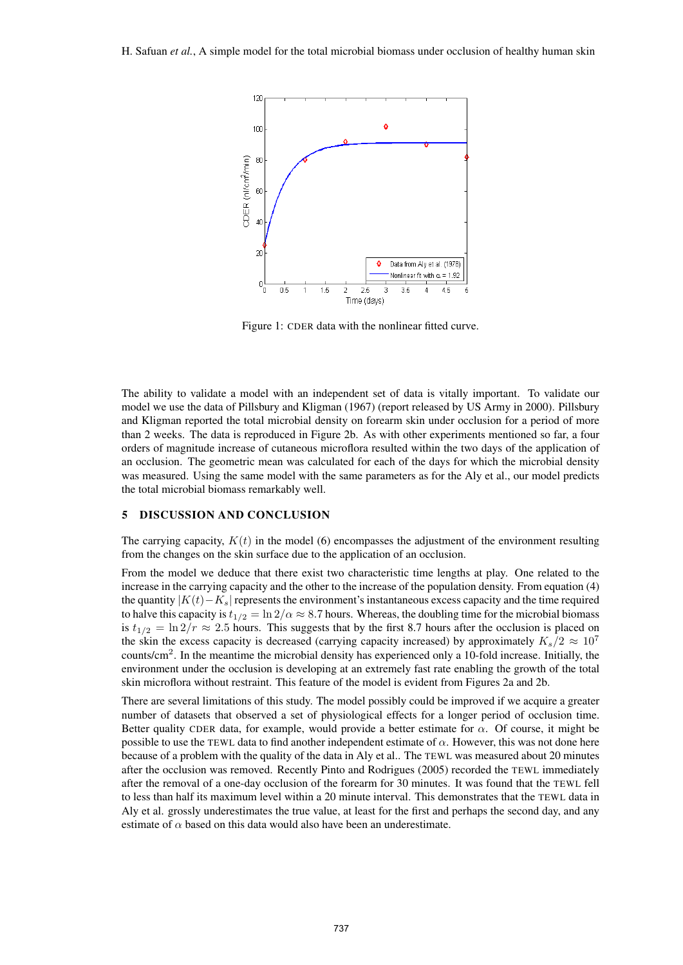

Figure 1: CDER data with the nonlinear fitted curve.

The ability to validate a model with an independent set of data is vitally important. To validate our model we use the data of Pillsbury and Kligman (1967) (report released by US Army in 2000). Pillsbury and Kligman reported the total microbial density on forearm skin under occlusion for a period of more than 2 weeks. The data is reproduced in Figure 2b. As with other experiments mentioned so far, a four orders of magnitude increase of cutaneous microflora resulted within the two days of the application of an occlusion. The geometric mean was calculated for each of the days for which the microbial density was measured. Using the same model with the same parameters as for the Aly et al., our model predicts the total microbial biomass remarkably well.

#### 5 DISCUSSION AND CONCLUSION

The carrying capacity,  $K(t)$  in the model (6) encompasses the adjustment of the environment resulting from the changes on the skin surface due to the application of an occlusion.

From the model we deduce that there exist two characteristic time lengths at play. One related to the increase in the carrying capacity and the other to the increase of the population density. From equation (4) the quantity  $|K(t)-K_s|$  represents the environment's instantaneous excess capacity and the time required to halve this capacity is  $t_{1/2} = \ln 2/\alpha \approx 8.7$  hours. Whereas, the doubling time for the microbial biomass is  $t_{1/2} = \ln 2/r \approx 2.5$  hours. This suggests that by the first 8.7 hours after the occlusion is placed on the skin the excess capacity is decreased (carrying capacity increased) by approximately  $K_s/2 \approx 10^7$ counts/cm<sup>2</sup> . In the meantime the microbial density has experienced only a 10-fold increase. Initially, the environment under the occlusion is developing at an extremely fast rate enabling the growth of the total skin microflora without restraint. This feature of the model is evident from Figures 2a and 2b.

There are several limitations of this study. The model possibly could be improved if we acquire a greater number of datasets that observed a set of physiological effects for a longer period of occlusion time. Better quality CDER data, for example, would provide a better estimate for  $\alpha$ . Of course, it might be possible to use the TEWL data to find another independent estimate of  $\alpha$ . However, this was not done here because of a problem with the quality of the data in Aly et al.. The TEWL was measured about 20 minutes after the occlusion was removed. Recently Pinto and Rodrigues (2005) recorded the TEWL immediately after the removal of a one-day occlusion of the forearm for 30 minutes. It was found that the TEWL fell to less than half its maximum level within a 20 minute interval. This demonstrates that the TEWL data in Aly et al. grossly underestimates the true value, at least for the first and perhaps the second day, and any estimate of  $\alpha$  based on this data would also have been an underestimate.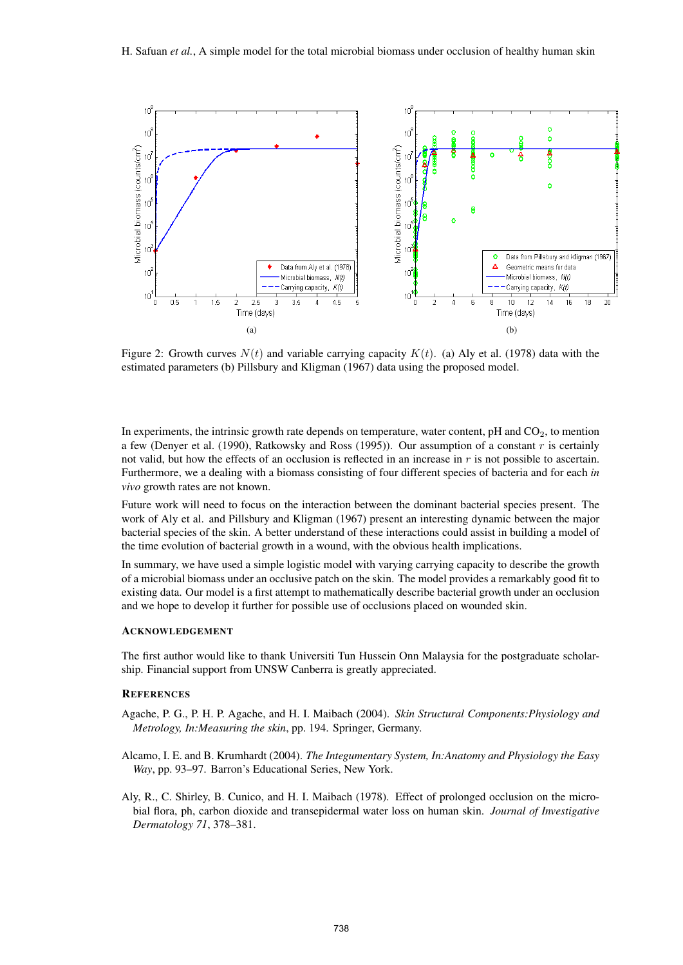

Figure 2: Growth curves  $N(t)$  and variable carrying capacity  $K(t)$ . (a) Aly et al. (1978) data with the estimated parameters (b) Pillsbury and Kligman (1967) data using the proposed model.

In experiments, the intrinsic growth rate depends on temperature, water content,  $pH$  and  $CO<sub>2</sub>$ , to mention a few (Denyer et al. (1990), Ratkowsky and Ross (1995)). Our assumption of a constant  $r$  is certainly not valid, but how the effects of an occlusion is reflected in an increase in  $r$  is not possible to ascertain. Furthermore, we a dealing with a biomass consisting of four different species of bacteria and for each *in vivo* growth rates are not known.

Future work will need to focus on the interaction between the dominant bacterial species present. The work of Aly et al. and Pillsbury and Kligman (1967) present an interesting dynamic between the major bacterial species of the skin. A better understand of these interactions could assist in building a model of the time evolution of bacterial growth in a wound, with the obvious health implications.

In summary, we have used a simple logistic model with varying carrying capacity to describe the growth of a microbial biomass under an occlusive patch on the skin. The model provides a remarkably good fit to existing data. Our model is a first attempt to mathematically describe bacterial growth under an occlusion and we hope to develop it further for possible use of occlusions placed on wounded skin.

### ACKNOWLEDGEMENT

The first author would like to thank Universiti Tun Hussein Onn Malaysia for the postgraduate scholarship. Financial support from UNSW Canberra is greatly appreciated.

#### **REFERENCES**

- Agache, P. G., P. H. P. Agache, and H. I. Maibach (2004). *Skin Structural Components:Physiology and Metrology, In:Measuring the skin*, pp. 194. Springer, Germany.
- Alcamo, I. E. and B. Krumhardt (2004). *The Integumentary System, In:Anatomy and Physiology the Easy Way*, pp. 93–97. Barron's Educational Series, New York.
- Aly, R., C. Shirley, B. Cunico, and H. I. Maibach (1978). Effect of prolonged occlusion on the microbial flora, ph, carbon dioxide and transepidermal water loss on human skin. *Journal of Investigative Dermatology 71*, 378–381.